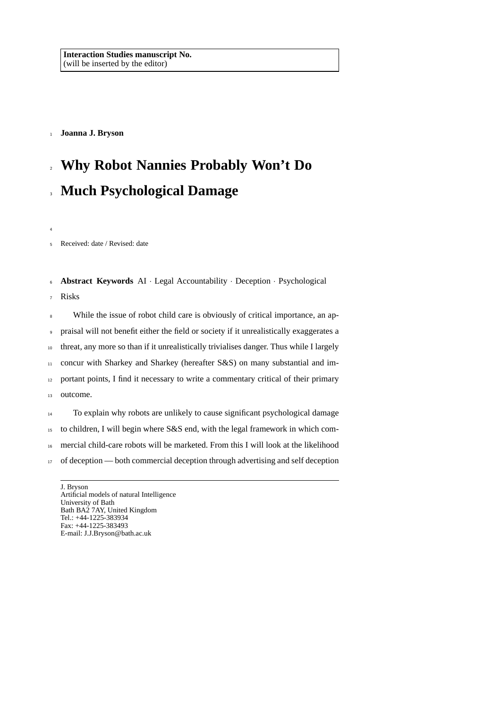<sup>1</sup> **Joanna J. Bryson**

# <sup>2</sup> **Why Robot Nannies Probably Won't Do** <sup>3</sup> **Much Psychological Damage**

<sup>5</sup> Received: date / Revised: date

## <sup>6</sup> **Abstract Keywords** AI · Legal Accountability · Deception · Psychological

<sup>7</sup> Risks

4

 While the issue of robot child care is obviously of critical importance, an ap- praisal will not benefit either the field or society if it unrealistically exaggerates a threat, any more so than if it unrealistically trivialises danger. Thus while I largely 11 concur with Sharkey and Sharkey (hereafter S&S) on many substantial and im- portant points, I find it necessary to write a commentary critical of their primary <sup>13</sup> outcome.

<sup>14</sup> To explain why robots are unlikely to cause significant psychological damage to children, I will begin where S&S end, with the legal framework in which com- mercial child-care robots will be marketed. From this I will look at the likelihood of deception — both commercial deception through advertising and self deception

J. Bryson Artificial models of natural Intelligence University of Bath Bath BA2 7AY, United Kingdom Tel.: +44-1225-383934 Fax: +44-1225-383493 E-mail: J.J.Bryson@bath.ac.uk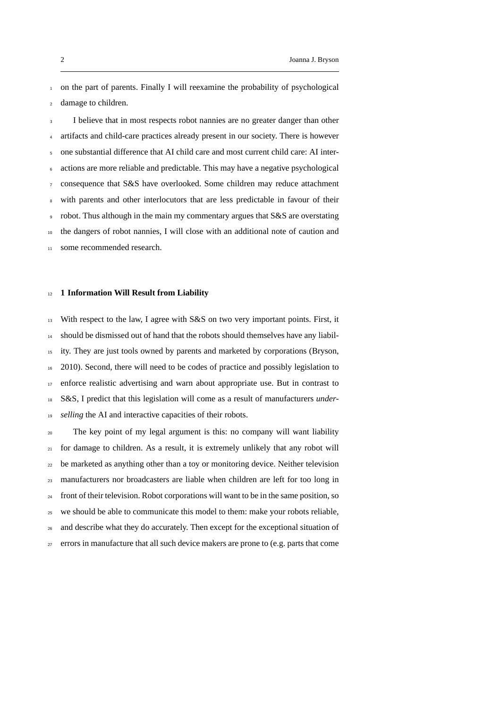on the part of parents. Finally I will reexamine the probability of psychological damage to children.

<sup>3</sup> I believe that in most respects robot nannies are no greater danger than other artifacts and child-care practices already present in our society. There is however one substantial difference that AI child care and most current child care: AI inter- actions are more reliable and predictable. This may have a negative psychological consequence that S&S have overlooked. Some children may reduce attachment with parents and other interlocutors that are less predictable in favour of their robot. Thus although in the main my commentary argues that S&S are overstating the dangers of robot nannies, I will close with an additional note of caution and <sup>11</sup> some recommended research.

## **1 Information Will Result from Liability**

 With respect to the law, I agree with S&S on two very important points. First, it should be dismissed out of hand that the robots should themselves have any liabil- ity. They are just tools owned by parents and marketed by corporations (Bryson, 2010). Second, there will need to be codes of practice and possibly legislation to enforce realistic advertising and warn about appropriate use. But in contrast to S&S, I predict that this legislation will come as a result of manufacturers *under-*<sup>19</sup> *selling* the AI and interactive capacities of their robots.

 The key point of my legal argument is this: no company will want liability for damage to children. As a result, it is extremely unlikely that any robot will be marketed as anything other than a toy or monitoring device. Neither television manufacturers nor broadcasters are liable when children are left for too long in <sup>24</sup> front of their television. Robot corporations will want to be in the same position, so we should be able to communicate this model to them: make your robots reliable, and describe what they do accurately. Then except for the exceptional situation of errors in manufacture that all such device makers are prone to (e.g. parts that come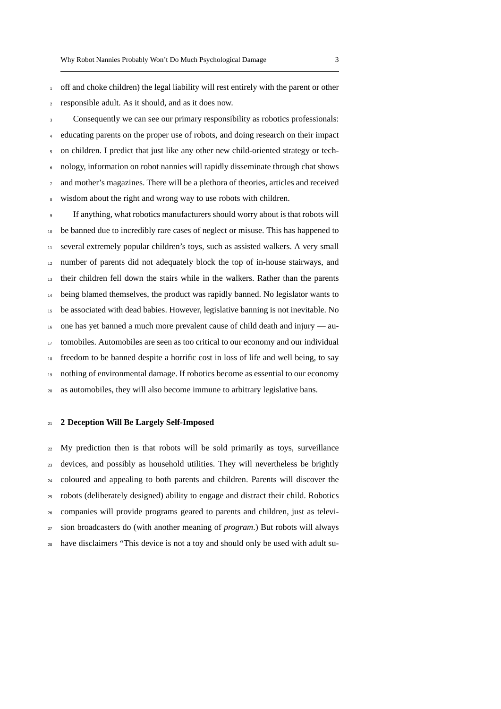off and choke children) the legal liability will rest entirely with the parent or other responsible adult. As it should, and as it does now.

Consequently we can see our primary responsibility as robotics professionals: educating parents on the proper use of robots, and doing research on their impact on children. I predict that just like any other new child-oriented strategy or tech- nology, information on robot nannies will rapidly disseminate through chat shows and mother's magazines. There will be a plethora of theories, articles and received wisdom about the right and wrong way to use robots with children.

If anything, what robotics manufacturers should worry about is that robots will be banned due to incredibly rare cases of neglect or misuse. This has happened to several extremely popular children's toys, such as assisted walkers. A very small number of parents did not adequately block the top of in-house stairways, and their children fell down the stairs while in the walkers. Rather than the parents being blamed themselves, the product was rapidly banned. No legislator wants to be associated with dead babies. However, legislative banning is not inevitable. No one has yet banned a much more prevalent cause of child death and injury — au- tomobiles. Automobiles are seen as too critical to our economy and our individual freedom to be banned despite a horrific cost in loss of life and well being, to say nothing of environmental damage. If robotics become as essential to our economy as automobiles, they will also become immune to arbitrary legislative bans.

#### **2 Deception Will Be Largely Self-Imposed**

<sup>22</sup> My prediction then is that robots will be sold primarily as toys, surveillance devices, and possibly as household utilities. They will nevertheless be brightly coloured and appealing to both parents and children. Parents will discover the robots (deliberately designed) ability to engage and distract their child. Robotics companies will provide programs geared to parents and children, just as televi- sion broadcasters do (with another meaning of *program*.) But robots will always have disclaimers "This device is not a toy and should only be used with adult su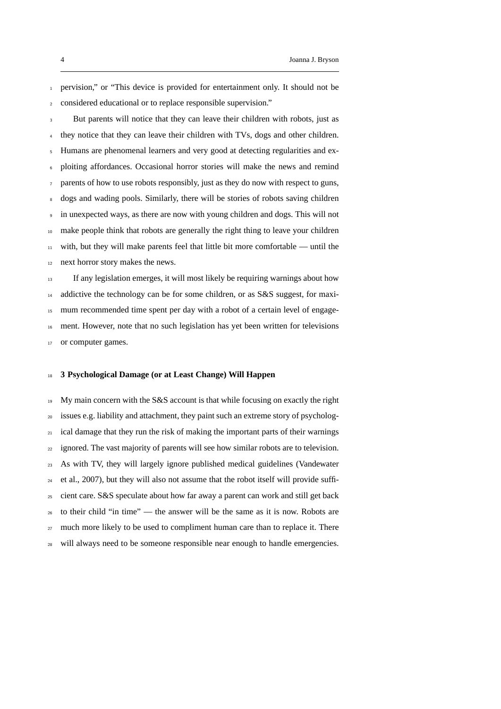<sup>1</sup> pervision," or "This device is provided for entertainment only. It should not be <sup>2</sup> considered educational or to replace responsible supervision."

But parents will notice that they can leave their children with robots, just as <sup>4</sup> they notice that they can leave their children with TVs, dogs and other children. <sup>5</sup> Humans are phenomenal learners and very good at detecting regularities and ex-<sup>6</sup> ploiting affordances. Occasional horror stories will make the news and remind <sup>7</sup> parents of how to use robots responsibly, just as they do now with respect to guns, <sup>8</sup> dogs and wading pools. Similarly, there will be stories of robots saving children <sup>9</sup> in unexpected ways, as there are now with young children and dogs. This will not <sup>10</sup> make people think that robots are generally the right thing to leave your children <sup>11</sup> with, but they will make parents feel that little bit more comfortable — until the 12 next horror story makes the news.

<sup>13</sup> If any legislation emerges, it will most likely be requiring warnings about how 14 addictive the technology can be for some children, or as S&S suggest, for maxi-<sup>15</sup> mum recommended time spent per day with a robot of a certain level of engage-<sup>16</sup> ment. However, note that no such legislation has yet been written for televisions 17 or computer games.

## <sup>18</sup> **3 Psychological Damage (or at Least Change) Will Happen**

<sup>19</sup> My main concern with the S&S account is that while focusing on exactly the right <sup>20</sup> issues e.g. liability and attachment, they paint such an extreme story of psycholog-<sup>21</sup> ical damage that they run the risk of making the important parts of their warnings <sup>22</sup> ignored. The vast majority of parents will see how similar robots are to television. <sup>23</sup> As with TV, they will largely ignore published medical guidelines (Vandewater <sup>24</sup> et al., 2007), but they will also not assume that the robot itself will provide suffi-<sup>25</sup> cient care. S&S speculate about how far away a parent can work and still get back  $_{26}$  to their child "in time" — the answer will be the same as it is now. Robots are <sub>27</sub> much more likely to be used to compliment human care than to replace it. There <sup>28</sup> will always need to be someone responsible near enough to handle emergencies.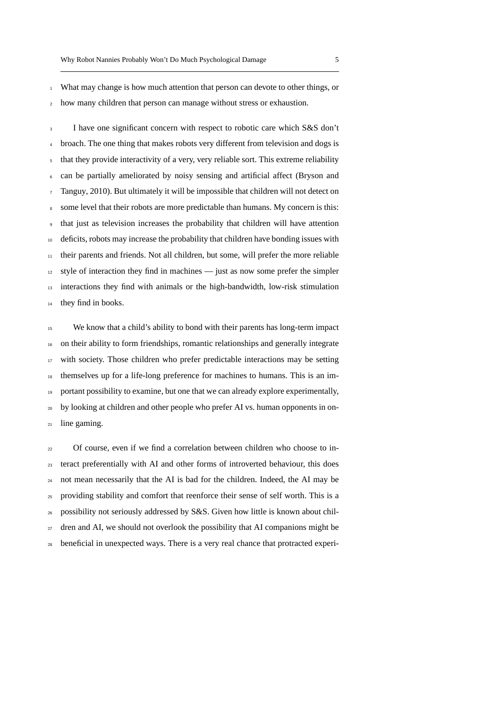<sup>1</sup> What may change is how much attention that person can devote to other things, or

how many children that person can manage without stress or exhaustion.

 I have one significant concern with respect to robotic care which S&S don't broach. The one thing that makes robots very different from television and dogs is that they provide interactivity of a very, very reliable sort. This extreme reliability can be partially ameliorated by noisy sensing and artificial affect (Bryson and Tanguy, 2010). But ultimately it will be impossible that children will not detect on 8 some level that their robots are more predictable than humans. My concern is this: that just as television increases the probability that children will have attention deficits, robots may increase the probability that children have bonding issues with their parents and friends. Not all children, but some, will prefer the more reliable 12 style of interaction they find in machines — just as now some prefer the simpler interactions they find with animals or the high-bandwidth, low-risk stimulation <sup>14</sup> they find in books.

<sup>15</sup> We know that a child's ability to bond with their parents has long-term impact 16 on their ability to form friendships, romantic relationships and generally integrate 17 with society. Those children who prefer predictable interactions may be setting  $_{18}$  themselves up for a life-long preference for machines to humans. This is an im- portant possibility to examine, but one that we can already explore experimentally, by looking at children and other people who prefer AI vs. human opponents in on-line gaming.

 Of course, even if we find a correlation between children who choose to in- teract preferentially with AI and other forms of introverted behaviour, this does not mean necessarily that the AI is bad for the children. Indeed, the AI may be providing stability and comfort that reenforce their sense of self worth. This is a possibility not seriously addressed by S&S. Given how little is known about chil- dren and AI, we should not overlook the possibility that AI companions might be beneficial in unexpected ways. There is a very real chance that protracted experi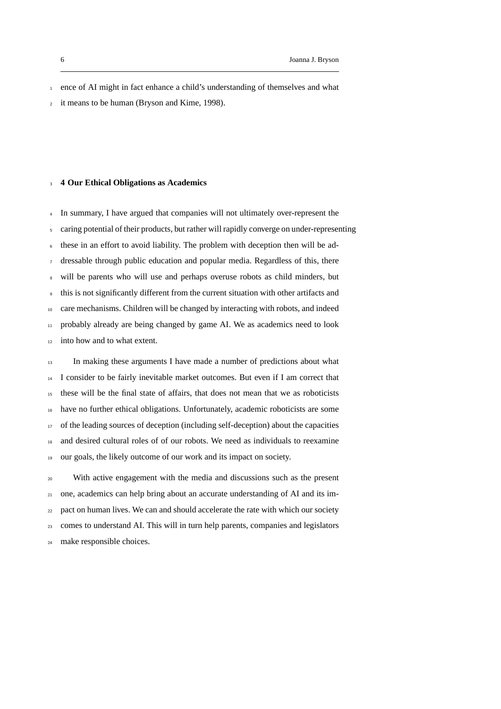<sup>1</sup> ence of AI might in fact enhance a child's understanding of themselves and what

it means to be human (Bryson and Kime, 1998).

## **4 Our Ethical Obligations as Academics**

 In summary, I have argued that companies will not ultimately over-represent the caring potential of their products, but rather will rapidly converge on under-representing these in an effort to avoid liability. The problem with deception then will be ad-7 dressable through public education and popular media. Regardless of this, there will be parents who will use and perhaps overuse robots as child minders, but this is not significantly different from the current situation with other artifacts and care mechanisms. Children will be changed by interacting with robots, and indeed probably already are being changed by game AI. We as academics need to look into how and to what extent.

 In making these arguments I have made a number of predictions about what <sup>14</sup> I consider to be fairly inevitable market outcomes. But even if I am correct that these will be the final state of affairs, that does not mean that we as roboticists have no further ethical obligations. Unfortunately, academic roboticists are some 17 of the leading sources of deception (including self-deception) about the capacities and desired cultural roles of of our robots. We need as individuals to reexamine our goals, the likely outcome of our work and its impact on society.

 With active engagement with the media and discussions such as the present one, academics can help bring about an accurate understanding of AI and its im- pact on human lives. We can and should accelerate the rate with which our society comes to understand AI. This will in turn help parents, companies and legislators make responsible choices.